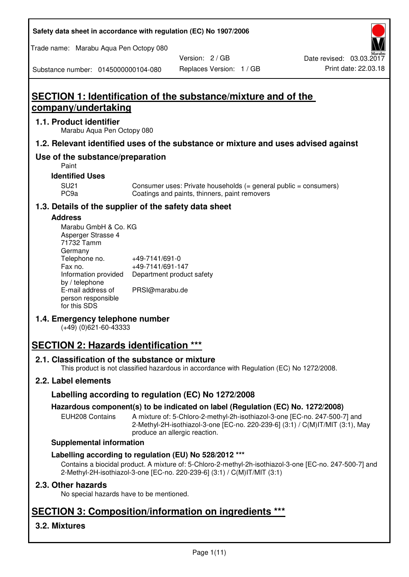| Safety data sheet in accordance with regulation (EC) No 1907/2006 |  |
|-------------------------------------------------------------------|--|
|-------------------------------------------------------------------|--|

Trade name: Marabu Aqua Pen Octopy 080

Version: 2 / GB

Substance number: 0145000000104-080

# Replaces Version: 1 / GB Print date: 22.03.18

# **SECTION 1: Identification of the substance/mixture and of the company/undertaking**

## **1.1. Product identifier**

Marabu Aqua Pen Octopy 080

## **1.2. Relevant identified uses of the substance or mixture and uses advised against**

## **Use of the substance/preparation**

Paint

## **Identified Uses**

SU21 Consumer uses: Private households (= general public = consumers)<br>PC9a Coatings and paints, thinners, paint removers Coatings and paints, thinners, paint removers

## **1.3. Details of the supplier of the safety data sheet**

#### **Address**

| Marabu GmbH & Co. KG |                           |
|----------------------|---------------------------|
| Asperger Strasse 4   |                           |
| 71732 Tamm           |                           |
| Germany              |                           |
| Telephone no.        | +49-7141/691-0            |
| Fax no.              | +49-7141/691-147          |
| Information provided | Department product safety |
| by / telephone       |                           |
| E-mail address of    | PRSI@marabu.de            |
| person responsible   |                           |
| for this SDS         |                           |

## **1.4. Emergency telephone number**

(+49) (0)621-60-43333

# **SECTION 2: Hazards identification \*\*\***

## **2.1. Classification of the substance or mixture**

This product is not classified hazardous in accordance with Regulation (EC) No 1272/2008.

## **2.2. Label elements**

## **Labelling according to regulation (EC) No 1272/2008**

## **Hazardous component(s) to be indicated on label (Regulation (EC) No. 1272/2008)**

EUH208 Contains A mixture of: 5-Chloro-2-methyl-2h-isothiazol-3-one [EC-no. 247-500-7] and 2-Methyl-2H-isothiazol-3-one [EC-no. 220-239-6] (3:1) / C(M)IT/MIT (3:1), May produce an allergic reaction.

#### **Supplemental information**

## **Labelling according to regulation (EU) No 528/2012 \*\*\***

Contains a biocidal product. A mixture of: 5-Chloro-2-methyl-2h-isothiazol-3-one [EC-no. 247-500-7] and 2-Methyl-2H-isothiazol-3-one [EC-no. 220-239-6] (3:1) / C(M)IT/MIT (3:1)

## **2.3. Other hazards**

No special hazards have to be mentioned.

# **SECTION 3: Composition/information on ingredients \*\*\***

## **3.2. Mixtures**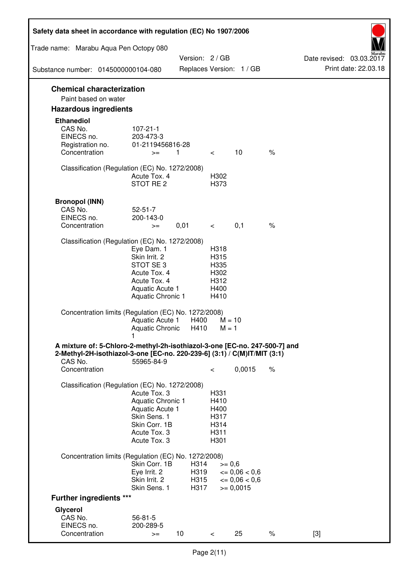| Safety data sheet in accordance with regulation (EC) No 1907/2006                                                                                                 |                                                                                                                       |                              |                                                      |                                                                  |      |                                                  |
|-------------------------------------------------------------------------------------------------------------------------------------------------------------------|-----------------------------------------------------------------------------------------------------------------------|------------------------------|------------------------------------------------------|------------------------------------------------------------------|------|--------------------------------------------------|
| Trade name: Marabu Aqua Pen Octopy 080                                                                                                                            |                                                                                                                       |                              |                                                      |                                                                  |      |                                                  |
| Substance number: 0145000000104-080                                                                                                                               |                                                                                                                       | Version: 2 / GB              |                                                      | Replaces Version: 1 / GB                                         |      | Date revised: 03.03.2017<br>Print date: 22.03.18 |
|                                                                                                                                                                   |                                                                                                                       |                              |                                                      |                                                                  |      |                                                  |
| <b>Chemical characterization</b><br>Paint based on water                                                                                                          |                                                                                                                       |                              |                                                      |                                                                  |      |                                                  |
| <b>Hazardous ingredients</b>                                                                                                                                      |                                                                                                                       |                              |                                                      |                                                                  |      |                                                  |
| <b>Ethanediol</b><br>CAS No.<br>EINECS no.<br>Registration no.                                                                                                    | $107 - 21 - 1$<br>203-473-3<br>01-2119456816-28                                                                       |                              |                                                      |                                                                  |      |                                                  |
| Concentration                                                                                                                                                     | $>=$                                                                                                                  | 1                            | $\lt$ $\sim$                                         | 10                                                               | $\%$ |                                                  |
| Classification (Regulation (EC) No. 1272/2008)                                                                                                                    | Acute Tox. 4<br>STOT RE 2                                                                                             |                              | H302<br>H373                                         |                                                                  |      |                                                  |
| <b>Bronopol (INN)</b><br>CAS No.<br>EINECS no.<br>Concentration                                                                                                   | $52 - 51 - 7$<br>200-143-0<br>$>=$                                                                                    | 0,01                         | $\lt$ $\sim$                                         | 0,1                                                              | $\%$ |                                                  |
| Classification (Regulation (EC) No. 1272/2008)                                                                                                                    |                                                                                                                       |                              |                                                      |                                                                  |      |                                                  |
|                                                                                                                                                                   | Eye Dam. 1<br>Skin Irrit. 2<br>STOT SE3<br>Acute Tox. 4<br>Acute Tox. 4<br>Aquatic Acute 1<br>Aquatic Chronic 1       |                              | H318<br>H315<br>H335<br>H302<br>H312<br>H400<br>H410 |                                                                  |      |                                                  |
| Concentration limits (Regulation (EC) No. 1272/2008)                                                                                                              | Aquatic Acute 1<br>Aquatic Chronic $H410$ M = 1                                                                       | H400                         | $M = 10$                                             |                                                                  |      |                                                  |
| A mixture of: 5-Chloro-2-methyl-2h-isothiazol-3-one [EC-no. 247-500-7] and<br>2-Methyl-2H-isothiazol-3-one [EC-no. 220-239-6] (3:1) / C(M)IT/MIT (3:1)<br>CAS No. | 55965-84-9                                                                                                            |                              |                                                      |                                                                  |      |                                                  |
| Concentration                                                                                                                                                     |                                                                                                                       |                              | $\,<\,$                                              | 0,0015                                                           | $\%$ |                                                  |
| Classification (Regulation (EC) No. 1272/2008)                                                                                                                    | Acute Tox. 3<br>Aquatic Chronic 1<br>Aquatic Acute 1<br>Skin Sens. 1<br>Skin Corr. 1B<br>Acute Tox. 3<br>Acute Tox. 3 |                              | H331<br>H410<br>H400<br>H317<br>H314<br>H311<br>H301 |                                                                  |      |                                                  |
| Concentration limits (Regulation (EC) No. 1272/2008)                                                                                                              |                                                                                                                       |                              |                                                      |                                                                  |      |                                                  |
|                                                                                                                                                                   | Skin Corr. 1B<br>Eye Irrit. 2<br>Skin Irrit. 2<br>Skin Sens. 1                                                        | H314<br>H319<br>H315<br>H317 | $>= 0,6$                                             | $\epsilon = 0.06 < 0.6$<br>$\epsilon = 0.06 < 0.6$<br>$= 0,0015$ |      |                                                  |
| <b>Further ingredients ***</b>                                                                                                                                    |                                                                                                                       |                              |                                                      |                                                                  |      |                                                  |
| Glycerol<br>CAS No.<br>EINECS no.<br>Concentration                                                                                                                | $56 - 81 - 5$<br>200-289-5<br>$>=$                                                                                    | 10 <sup>°</sup>              | $\,<\,$                                              | 25                                                               | $\%$ | $[3]$                                            |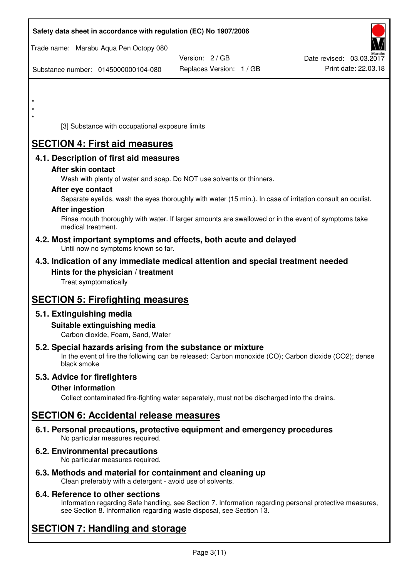| Safety data sheet in accordance with regulation (EC) No 1907/2006                                                                                                                  |                          |                          |
|------------------------------------------------------------------------------------------------------------------------------------------------------------------------------------|--------------------------|--------------------------|
| Trade name: Marabu Aqua Pen Octopy 080                                                                                                                                             |                          |                          |
|                                                                                                                                                                                    | Version: 2 / GB          | Date revised: 03.03.2017 |
| Substance number: 0145000000104-080                                                                                                                                                | Replaces Version: 1 / GB | Print date: 22.03.18     |
|                                                                                                                                                                                    |                          |                          |
|                                                                                                                                                                                    |                          |                          |
|                                                                                                                                                                                    |                          |                          |
| *<br>[3] Substance with occupational exposure limits                                                                                                                               |                          |                          |
|                                                                                                                                                                                    |                          |                          |
| <b>SECTION 4: First aid measures</b>                                                                                                                                               |                          |                          |
| 4.1. Description of first aid measures                                                                                                                                             |                          |                          |
| After skin contact                                                                                                                                                                 |                          |                          |
| Wash with plenty of water and soap. Do NOT use solvents or thinners.                                                                                                               |                          |                          |
| After eye contact<br>Separate eyelids, wash the eyes thoroughly with water (15 min.). In case of irritation consult an oculist.                                                    |                          |                          |
| <b>After ingestion</b>                                                                                                                                                             |                          |                          |
| Rinse mouth thoroughly with water. If larger amounts are swallowed or in the event of symptoms take                                                                                |                          |                          |
| medical treatment.                                                                                                                                                                 |                          |                          |
| 4.2. Most important symptoms and effects, both acute and delayed<br>Until now no symptoms known so far.                                                                            |                          |                          |
| 4.3. Indication of any immediate medical attention and special treatment needed                                                                                                    |                          |                          |
| Hints for the physician / treatment                                                                                                                                                |                          |                          |
| Treat symptomatically                                                                                                                                                              |                          |                          |
| <b>SECTION 5: Firefighting measures</b>                                                                                                                                            |                          |                          |
| 5.1. Extinguishing media                                                                                                                                                           |                          |                          |
| Suitable extinguishing media                                                                                                                                                       |                          |                          |
| Carbon dioxide, Foam, Sand, Water                                                                                                                                                  |                          |                          |
| 5.2. Special hazards arising from the substance or mixture<br>In the event of fire the following can be released: Carbon monoxide (CO); Carbon dioxide (CO2); dense<br>black smoke |                          |                          |
| 5.3. Advice for firefighters                                                                                                                                                       |                          |                          |
| <b>Other information</b>                                                                                                                                                           |                          |                          |
| Collect contaminated fire-fighting water separately, must not be discharged into the drains.                                                                                       |                          |                          |
| <b>SECTION 6: Accidental release measures</b>                                                                                                                                      |                          |                          |
| 6.1. Personal precautions, protective equipment and emergency procedures<br>No particular measures required.                                                                       |                          |                          |
| <b>6.2. Environmental precautions</b><br>No particular measures required.                                                                                                          |                          |                          |
|                                                                                                                                                                                    |                          |                          |

**6.3. Methods and material for containment and cleaning up**  Clean preferably with a detergent - avoid use of solvents.

## **6.4. Reference to other sections**

Information regarding Safe handling, see Section 7. Information regarding personal protective measures, see Section 8. Information regarding waste disposal, see Section 13.

# **SECTION 7: Handling and storage**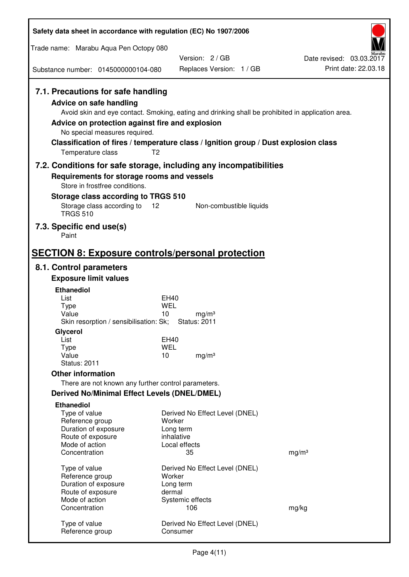| Safety data sheet in accordance with regulation (EC) No 1907/2006                                                                                                             |                                                                                                                                                                                                            |                                                  |
|-------------------------------------------------------------------------------------------------------------------------------------------------------------------------------|------------------------------------------------------------------------------------------------------------------------------------------------------------------------------------------------------------|--------------------------------------------------|
| Trade name: Marabu Aqua Pen Octopy 080                                                                                                                                        |                                                                                                                                                                                                            |                                                  |
|                                                                                                                                                                               | Version: 2/GB                                                                                                                                                                                              | Date revised: 03.03.2017<br>Print date: 22.03.18 |
| Substance number: 0145000000104-080                                                                                                                                           | Replaces Version: 1 / GB                                                                                                                                                                                   |                                                  |
| 7.1. Precautions for safe handling<br><b>Advice on safe handling</b><br>Advice on protection against fire and explosion<br>No special measures required.<br>Temperature class | Avoid skin and eye contact. Smoking, eating and drinking shall be prohibited in application area.<br>Classification of fires / temperature class / Ignition group / Dust explosion class<br>T <sub>2</sub> |                                                  |
| 7.2. Conditions for safe storage, including any incompatibilities                                                                                                             |                                                                                                                                                                                                            |                                                  |
| Requirements for storage rooms and vessels<br>Store in frostfree conditions.                                                                                                  |                                                                                                                                                                                                            |                                                  |
| Storage class according to TRGS 510                                                                                                                                           |                                                                                                                                                                                                            |                                                  |
| Storage class according to<br><b>TRGS 510</b>                                                                                                                                 | 12<br>Non-combustible liquids                                                                                                                                                                              |                                                  |
| 7.3. Specific end use(s)<br>Paint                                                                                                                                             |                                                                                                                                                                                                            |                                                  |
| <b>SECTION 8: Exposure controls/personal protection</b>                                                                                                                       |                                                                                                                                                                                                            |                                                  |
| 8.1. Control parameters                                                                                                                                                       |                                                                                                                                                                                                            |                                                  |
| <b>Exposure limit values</b>                                                                                                                                                  |                                                                                                                                                                                                            |                                                  |
| <b>Ethanediol</b><br>List                                                                                                                                                     | EH40                                                                                                                                                                                                       |                                                  |
| <b>Type</b>                                                                                                                                                                   | <b>WEL</b>                                                                                                                                                                                                 |                                                  |
| Value<br>Skin resorption / sensibilisation: Sk;                                                                                                                               | 10<br>mg/m <sup>3</sup><br><b>Status: 2011</b>                                                                                                                                                             |                                                  |
| Glycerol                                                                                                                                                                      |                                                                                                                                                                                                            |                                                  |
| List                                                                                                                                                                          | EH40                                                                                                                                                                                                       |                                                  |
| <b>Type</b><br>Value                                                                                                                                                          | <b>WEL</b><br>10<br>mg/m <sup>3</sup>                                                                                                                                                                      |                                                  |
| <b>Status: 2011</b>                                                                                                                                                           |                                                                                                                                                                                                            |                                                  |
| <b>Other information</b>                                                                                                                                                      |                                                                                                                                                                                                            |                                                  |
| There are not known any further control parameters.                                                                                                                           |                                                                                                                                                                                                            |                                                  |
| <b>Derived No/Minimal Effect Levels (DNEL/DMEL)</b>                                                                                                                           |                                                                                                                                                                                                            |                                                  |
| <b>Ethanediol</b><br>Type of value                                                                                                                                            | Derived No Effect Level (DNEL)                                                                                                                                                                             |                                                  |
| Reference group                                                                                                                                                               | Worker                                                                                                                                                                                                     |                                                  |
| Duration of exposure                                                                                                                                                          | Long term<br>inhalative                                                                                                                                                                                    |                                                  |
| Route of exposure<br>Mode of action                                                                                                                                           | Local effects                                                                                                                                                                                              |                                                  |
| Concentration                                                                                                                                                                 | 35                                                                                                                                                                                                         | mg/m <sup>3</sup>                                |
| Type of value                                                                                                                                                                 | Derived No Effect Level (DNEL)                                                                                                                                                                             |                                                  |
| Reference group                                                                                                                                                               | Worker                                                                                                                                                                                                     |                                                  |
| Duration of exposure<br>Route of exposure                                                                                                                                     | Long term<br>dermal                                                                                                                                                                                        |                                                  |
| Mode of action                                                                                                                                                                | Systemic effects                                                                                                                                                                                           |                                                  |
| Concentration                                                                                                                                                                 | 106                                                                                                                                                                                                        | mg/kg                                            |
| Type of value<br>Reference group                                                                                                                                              | Derived No Effect Level (DNEL)<br>Consumer                                                                                                                                                                 |                                                  |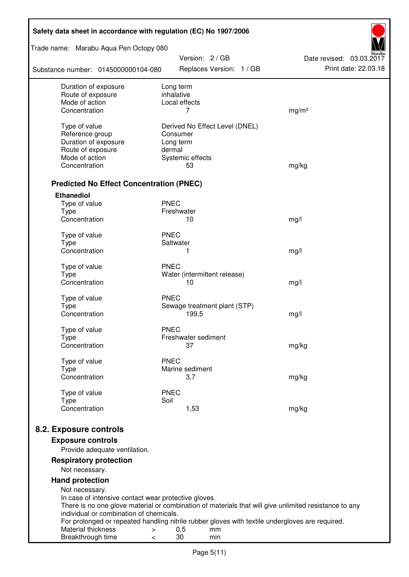| Safety data sheet in accordance with regulation (EC) No 1907/2006 |                                                                                                       |                          |  |  |
|-------------------------------------------------------------------|-------------------------------------------------------------------------------------------------------|--------------------------|--|--|
| Trade name: Marabu Aqua Pen Octopy 080                            | Version: 2 / GB                                                                                       | Date revised: 03.03.2017 |  |  |
| Substance number: 0145000000104-080                               | Replaces Version: 1 / GB                                                                              | Print date: 22.03.18     |  |  |
| Duration of exposure                                              | Long term                                                                                             |                          |  |  |
| Route of exposure<br>Mode of action                               | inhalative<br>Local effects                                                                           |                          |  |  |
| Concentration                                                     | 7                                                                                                     | mg/m <sup>3</sup>        |  |  |
|                                                                   |                                                                                                       |                          |  |  |
| Type of value                                                     | Derived No Effect Level (DNEL)                                                                        |                          |  |  |
| Reference group                                                   | Consumer                                                                                              |                          |  |  |
| Duration of exposure<br>Route of exposure                         | Long term<br>dermal                                                                                   |                          |  |  |
| Mode of action                                                    | Systemic effects                                                                                      |                          |  |  |
| Concentration                                                     | 53                                                                                                    | mg/kg                    |  |  |
|                                                                   |                                                                                                       |                          |  |  |
| <b>Predicted No Effect Concentration (PNEC)</b>                   |                                                                                                       |                          |  |  |
| <b>Ethanediol</b>                                                 |                                                                                                       |                          |  |  |
| Type of value                                                     | <b>PNEC</b>                                                                                           |                          |  |  |
| <b>Type</b>                                                       | Freshwater                                                                                            |                          |  |  |
| Concentration                                                     | 10                                                                                                    | mg/l                     |  |  |
| Type of value                                                     | <b>PNEC</b>                                                                                           |                          |  |  |
| <b>Type</b>                                                       | Saltwater                                                                                             |                          |  |  |
| Concentration                                                     | 1                                                                                                     | mg/l                     |  |  |
| Type of value                                                     | <b>PNEC</b>                                                                                           |                          |  |  |
| <b>Type</b>                                                       | Water (intermittent release)                                                                          |                          |  |  |
| Concentration                                                     | 10                                                                                                    | mg/l                     |  |  |
|                                                                   | <b>PNEC</b>                                                                                           |                          |  |  |
| Type of value<br><b>Type</b>                                      | Sewage treatment plant (STP)                                                                          |                          |  |  |
| Concentration                                                     | 199,5                                                                                                 | mg/l                     |  |  |
|                                                                   |                                                                                                       |                          |  |  |
| Type of value                                                     | <b>PNEC</b><br>Freshwater sediment                                                                    |                          |  |  |
| Type<br>Concentration                                             | 37                                                                                                    | mg/kg                    |  |  |
|                                                                   |                                                                                                       |                          |  |  |
| Type of value                                                     | <b>PNEC</b>                                                                                           |                          |  |  |
| <b>Type</b>                                                       | Marine sediment                                                                                       |                          |  |  |
| Concentration                                                     | 3,7                                                                                                   | mg/kg                    |  |  |
| Type of value                                                     | <b>PNEC</b>                                                                                           |                          |  |  |
| <b>Type</b>                                                       | Soil                                                                                                  |                          |  |  |
| Concentration                                                     | 1,53                                                                                                  | mg/kg                    |  |  |
|                                                                   |                                                                                                       |                          |  |  |
| 8.2. Exposure controls                                            |                                                                                                       |                          |  |  |
| <b>Exposure controls</b>                                          |                                                                                                       |                          |  |  |
| Provide adequate ventilation.                                     |                                                                                                       |                          |  |  |
| <b>Respiratory protection</b>                                     |                                                                                                       |                          |  |  |
| Not necessary.                                                    |                                                                                                       |                          |  |  |
| <b>Hand protection</b>                                            |                                                                                                       |                          |  |  |
| Not necessary.                                                    |                                                                                                       |                          |  |  |
| In case of intensive contact wear protective gloves.              | There is no one glove material or combination of materials that will give unlimited resistance to any |                          |  |  |
| individual or combination of chemicals.                           |                                                                                                       |                          |  |  |
|                                                                   | For prolonged or repeated handling nitrile rubber gloves with textile undergloves are required.       |                          |  |  |
| Material thickness<br>>                                           | 0,5<br>mm                                                                                             |                          |  |  |
| Breakthrough time<br><                                            | 30<br>min                                                                                             |                          |  |  |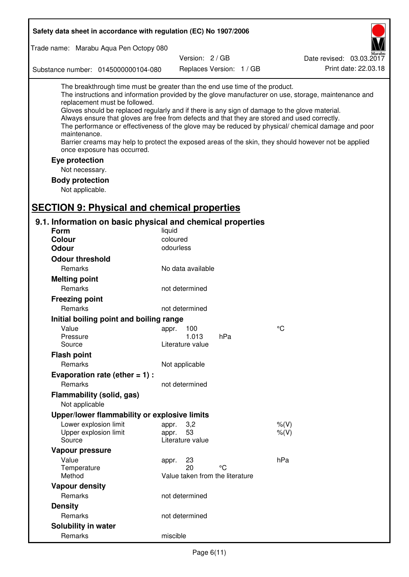| Safety data sheet in accordance with regulation (EC) No 1907/2006                                                                                                                                                                                                                                                                                            |                                       |                          |                                                                                                                                                                                                                                                                                                                    |  |
|--------------------------------------------------------------------------------------------------------------------------------------------------------------------------------------------------------------------------------------------------------------------------------------------------------------------------------------------------------------|---------------------------------------|--------------------------|--------------------------------------------------------------------------------------------------------------------------------------------------------------------------------------------------------------------------------------------------------------------------------------------------------------------|--|
| Trade name: Marabu Aqua Pen Octopy 080                                                                                                                                                                                                                                                                                                                       |                                       |                          |                                                                                                                                                                                                                                                                                                                    |  |
|                                                                                                                                                                                                                                                                                                                                                              | Version: 2/GB                         |                          | Date revised: 03.03.2017                                                                                                                                                                                                                                                                                           |  |
| Substance number: 0145000000104-080                                                                                                                                                                                                                                                                                                                          |                                       | Replaces Version: 1 / GB | Print date: 22.03.18                                                                                                                                                                                                                                                                                               |  |
| The breakthrough time must be greater than the end use time of the product.<br>replacement must be followed.<br>Gloves should be replaced regularly and if there is any sign of damage to the glove material.<br>Always ensure that gloves are free from defects and that they are stored and used correctly.<br>maintenance.<br>once exposure has occurred. |                                       |                          | The instructions and information provided by the glove manufacturer on use, storage, maintenance and<br>The performance or effectiveness of the glove may be reduced by physical/ chemical damage and poor<br>Barrier creams may help to protect the exposed areas of the skin, they should however not be applied |  |
| Eye protection                                                                                                                                                                                                                                                                                                                                               |                                       |                          |                                                                                                                                                                                                                                                                                                                    |  |
| Not necessary.                                                                                                                                                                                                                                                                                                                                               |                                       |                          |                                                                                                                                                                                                                                                                                                                    |  |
| <b>Body protection</b>                                                                                                                                                                                                                                                                                                                                       |                                       |                          |                                                                                                                                                                                                                                                                                                                    |  |
| Not applicable.                                                                                                                                                                                                                                                                                                                                              |                                       |                          |                                                                                                                                                                                                                                                                                                                    |  |
|                                                                                                                                                                                                                                                                                                                                                              |                                       |                          |                                                                                                                                                                                                                                                                                                                    |  |
| <b>SECTION 9: Physical and chemical properties</b>                                                                                                                                                                                                                                                                                                           |                                       |                          |                                                                                                                                                                                                                                                                                                                    |  |
| 9.1. Information on basic physical and chemical properties                                                                                                                                                                                                                                                                                                   |                                       |                          |                                                                                                                                                                                                                                                                                                                    |  |
| Form                                                                                                                                                                                                                                                                                                                                                         | liquid                                |                          |                                                                                                                                                                                                                                                                                                                    |  |
| <b>Colour</b>                                                                                                                                                                                                                                                                                                                                                | coloured<br>odourless                 |                          |                                                                                                                                                                                                                                                                                                                    |  |
| <b>Odour</b>                                                                                                                                                                                                                                                                                                                                                 |                                       |                          |                                                                                                                                                                                                                                                                                                                    |  |
| <b>Odour threshold</b>                                                                                                                                                                                                                                                                                                                                       |                                       |                          |                                                                                                                                                                                                                                                                                                                    |  |
| Remarks                                                                                                                                                                                                                                                                                                                                                      | No data available                     |                          |                                                                                                                                                                                                                                                                                                                    |  |
| <b>Melting point</b>                                                                                                                                                                                                                                                                                                                                         |                                       |                          |                                                                                                                                                                                                                                                                                                                    |  |
| Remarks                                                                                                                                                                                                                                                                                                                                                      | not determined                        |                          |                                                                                                                                                                                                                                                                                                                    |  |
| <b>Freezing point</b>                                                                                                                                                                                                                                                                                                                                        |                                       |                          |                                                                                                                                                                                                                                                                                                                    |  |
| Remarks                                                                                                                                                                                                                                                                                                                                                      | not determined                        |                          |                                                                                                                                                                                                                                                                                                                    |  |
| Initial boiling point and boiling range                                                                                                                                                                                                                                                                                                                      |                                       |                          |                                                                                                                                                                                                                                                                                                                    |  |
| Value                                                                                                                                                                                                                                                                                                                                                        | appr. 100                             |                          | $\rm ^{\circ}C$                                                                                                                                                                                                                                                                                                    |  |
| Pressure<br>Source                                                                                                                                                                                                                                                                                                                                           | 1.013<br>Literature value             | hPa                      |                                                                                                                                                                                                                                                                                                                    |  |
| <b>Flash point</b>                                                                                                                                                                                                                                                                                                                                           |                                       |                          |                                                                                                                                                                                                                                                                                                                    |  |
| Remarks                                                                                                                                                                                                                                                                                                                                                      | Not applicable                        |                          |                                                                                                                                                                                                                                                                                                                    |  |
| Evaporation rate (ether $= 1$ ) :                                                                                                                                                                                                                                                                                                                            |                                       |                          |                                                                                                                                                                                                                                                                                                                    |  |
| Remarks                                                                                                                                                                                                                                                                                                                                                      | not determined                        |                          |                                                                                                                                                                                                                                                                                                                    |  |
| Flammability (solid, gas)                                                                                                                                                                                                                                                                                                                                    |                                       |                          |                                                                                                                                                                                                                                                                                                                    |  |
| Not applicable                                                                                                                                                                                                                                                                                                                                               |                                       |                          |                                                                                                                                                                                                                                                                                                                    |  |
| Upper/lower flammability or explosive limits                                                                                                                                                                                                                                                                                                                 |                                       |                          |                                                                                                                                                                                                                                                                                                                    |  |
| Lower explosion limit                                                                                                                                                                                                                                                                                                                                        | 3,2<br>appr.                          |                          | $%$ (V)                                                                                                                                                                                                                                                                                                            |  |
| Upper explosion limit                                                                                                                                                                                                                                                                                                                                        | 53<br>appr.                           |                          | $%$ $(V)$                                                                                                                                                                                                                                                                                                          |  |
| Source                                                                                                                                                                                                                                                                                                                                                       | Literature value                      |                          |                                                                                                                                                                                                                                                                                                                    |  |
| Vapour pressure                                                                                                                                                                                                                                                                                                                                              |                                       |                          |                                                                                                                                                                                                                                                                                                                    |  |
| Value                                                                                                                                                                                                                                                                                                                                                        | 23<br>appr.                           |                          | hPa                                                                                                                                                                                                                                                                                                                |  |
| Temperature<br>Method                                                                                                                                                                                                                                                                                                                                        | 20<br>Value taken from the literature | °C                       |                                                                                                                                                                                                                                                                                                                    |  |
| <b>Vapour density</b>                                                                                                                                                                                                                                                                                                                                        |                                       |                          |                                                                                                                                                                                                                                                                                                                    |  |
| Remarks                                                                                                                                                                                                                                                                                                                                                      | not determined                        |                          |                                                                                                                                                                                                                                                                                                                    |  |
| <b>Density</b>                                                                                                                                                                                                                                                                                                                                               |                                       |                          |                                                                                                                                                                                                                                                                                                                    |  |
| Remarks                                                                                                                                                                                                                                                                                                                                                      | not determined                        |                          |                                                                                                                                                                                                                                                                                                                    |  |
| Solubility in water                                                                                                                                                                                                                                                                                                                                          |                                       |                          |                                                                                                                                                                                                                                                                                                                    |  |
| Remarks                                                                                                                                                                                                                                                                                                                                                      | miscible                              |                          |                                                                                                                                                                                                                                                                                                                    |  |
|                                                                                                                                                                                                                                                                                                                                                              |                                       |                          |                                                                                                                                                                                                                                                                                                                    |  |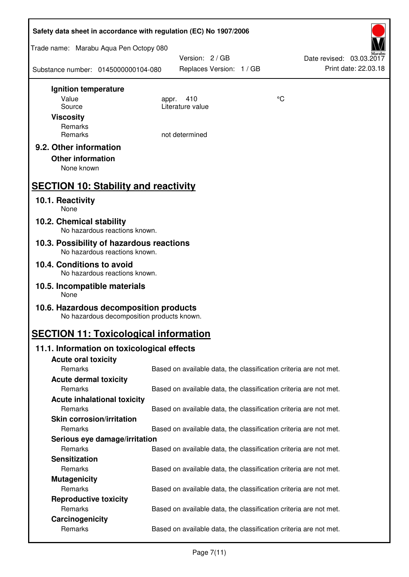| Trade name: Marabu Aqua Pen Octopy 080<br>Version: 2 / GB<br>Date revised: 03.03.2017<br>Print date: 22.03.18<br>Replaces Version: 1 / GB<br>Substance number: 0145000000104-080<br>Ignition temperature<br>Value<br>°C<br>410<br>appr.<br>Literature value<br>Source<br><b>Viscosity</b><br>Remarks<br>Remarks<br>not determined<br>9.2. Other information<br><b>Other information</b><br>None known<br><b>SECTION 10: Stability and reactivity</b><br>10.1. Reactivity<br>None<br>10.2. Chemical stability<br>No hazardous reactions known.<br>10.3. Possibility of hazardous reactions<br>No hazardous reactions known.<br>10.4. Conditions to avoid<br>No hazardous reactions known.<br>10.5. Incompatible materials<br>None<br>10.6. Hazardous decomposition products<br>No hazardous decomposition products known.<br><b>SECTION 11: Toxicological information</b><br>11.1. Information on toxicological effects<br><b>Acute oral toxicity</b><br>Remarks<br>Based on available data, the classification criteria are not met.<br><b>Acute dermal toxicity</b> |
|----------------------------------------------------------------------------------------------------------------------------------------------------------------------------------------------------------------------------------------------------------------------------------------------------------------------------------------------------------------------------------------------------------------------------------------------------------------------------------------------------------------------------------------------------------------------------------------------------------------------------------------------------------------------------------------------------------------------------------------------------------------------------------------------------------------------------------------------------------------------------------------------------------------------------------------------------------------------------------------------------------------------------------------------------------------------|
|                                                                                                                                                                                                                                                                                                                                                                                                                                                                                                                                                                                                                                                                                                                                                                                                                                                                                                                                                                                                                                                                      |
|                                                                                                                                                                                                                                                                                                                                                                                                                                                                                                                                                                                                                                                                                                                                                                                                                                                                                                                                                                                                                                                                      |
|                                                                                                                                                                                                                                                                                                                                                                                                                                                                                                                                                                                                                                                                                                                                                                                                                                                                                                                                                                                                                                                                      |
|                                                                                                                                                                                                                                                                                                                                                                                                                                                                                                                                                                                                                                                                                                                                                                                                                                                                                                                                                                                                                                                                      |
|                                                                                                                                                                                                                                                                                                                                                                                                                                                                                                                                                                                                                                                                                                                                                                                                                                                                                                                                                                                                                                                                      |
|                                                                                                                                                                                                                                                                                                                                                                                                                                                                                                                                                                                                                                                                                                                                                                                                                                                                                                                                                                                                                                                                      |
|                                                                                                                                                                                                                                                                                                                                                                                                                                                                                                                                                                                                                                                                                                                                                                                                                                                                                                                                                                                                                                                                      |
|                                                                                                                                                                                                                                                                                                                                                                                                                                                                                                                                                                                                                                                                                                                                                                                                                                                                                                                                                                                                                                                                      |
|                                                                                                                                                                                                                                                                                                                                                                                                                                                                                                                                                                                                                                                                                                                                                                                                                                                                                                                                                                                                                                                                      |
|                                                                                                                                                                                                                                                                                                                                                                                                                                                                                                                                                                                                                                                                                                                                                                                                                                                                                                                                                                                                                                                                      |
|                                                                                                                                                                                                                                                                                                                                                                                                                                                                                                                                                                                                                                                                                                                                                                                                                                                                                                                                                                                                                                                                      |
|                                                                                                                                                                                                                                                                                                                                                                                                                                                                                                                                                                                                                                                                                                                                                                                                                                                                                                                                                                                                                                                                      |
|                                                                                                                                                                                                                                                                                                                                                                                                                                                                                                                                                                                                                                                                                                                                                                                                                                                                                                                                                                                                                                                                      |
|                                                                                                                                                                                                                                                                                                                                                                                                                                                                                                                                                                                                                                                                                                                                                                                                                                                                                                                                                                                                                                                                      |
|                                                                                                                                                                                                                                                                                                                                                                                                                                                                                                                                                                                                                                                                                                                                                                                                                                                                                                                                                                                                                                                                      |
|                                                                                                                                                                                                                                                                                                                                                                                                                                                                                                                                                                                                                                                                                                                                                                                                                                                                                                                                                                                                                                                                      |
|                                                                                                                                                                                                                                                                                                                                                                                                                                                                                                                                                                                                                                                                                                                                                                                                                                                                                                                                                                                                                                                                      |
|                                                                                                                                                                                                                                                                                                                                                                                                                                                                                                                                                                                                                                                                                                                                                                                                                                                                                                                                                                                                                                                                      |
|                                                                                                                                                                                                                                                                                                                                                                                                                                                                                                                                                                                                                                                                                                                                                                                                                                                                                                                                                                                                                                                                      |
|                                                                                                                                                                                                                                                                                                                                                                                                                                                                                                                                                                                                                                                                                                                                                                                                                                                                                                                                                                                                                                                                      |
| Remarks<br>Based on available data, the classification criteria are not met.<br><b>Acute inhalational toxicity</b>                                                                                                                                                                                                                                                                                                                                                                                                                                                                                                                                                                                                                                                                                                                                                                                                                                                                                                                                                   |
| Remarks<br>Based on available data, the classification criteria are not met.                                                                                                                                                                                                                                                                                                                                                                                                                                                                                                                                                                                                                                                                                                                                                                                                                                                                                                                                                                                         |
| <b>Skin corrosion/irritation</b>                                                                                                                                                                                                                                                                                                                                                                                                                                                                                                                                                                                                                                                                                                                                                                                                                                                                                                                                                                                                                                     |
| Remarks<br>Based on available data, the classification criteria are not met.                                                                                                                                                                                                                                                                                                                                                                                                                                                                                                                                                                                                                                                                                                                                                                                                                                                                                                                                                                                         |
| Serious eye damage/irritation                                                                                                                                                                                                                                                                                                                                                                                                                                                                                                                                                                                                                                                                                                                                                                                                                                                                                                                                                                                                                                        |
| Remarks<br>Based on available data, the classification criteria are not met.                                                                                                                                                                                                                                                                                                                                                                                                                                                                                                                                                                                                                                                                                                                                                                                                                                                                                                                                                                                         |
| <b>Sensitization</b>                                                                                                                                                                                                                                                                                                                                                                                                                                                                                                                                                                                                                                                                                                                                                                                                                                                                                                                                                                                                                                                 |
| Remarks<br>Based on available data, the classification criteria are not met.                                                                                                                                                                                                                                                                                                                                                                                                                                                                                                                                                                                                                                                                                                                                                                                                                                                                                                                                                                                         |
|                                                                                                                                                                                                                                                                                                                                                                                                                                                                                                                                                                                                                                                                                                                                                                                                                                                                                                                                                                                                                                                                      |
| <b>Mutagenicity</b>                                                                                                                                                                                                                                                                                                                                                                                                                                                                                                                                                                                                                                                                                                                                                                                                                                                                                                                                                                                                                                                  |
| Remarks<br>Based on available data, the classification criteria are not met.                                                                                                                                                                                                                                                                                                                                                                                                                                                                                                                                                                                                                                                                                                                                                                                                                                                                                                                                                                                         |
| <b>Reproductive toxicity</b>                                                                                                                                                                                                                                                                                                                                                                                                                                                                                                                                                                                                                                                                                                                                                                                                                                                                                                                                                                                                                                         |
| Remarks<br>Based on available data, the classification criteria are not met.<br>Carcinogenicity                                                                                                                                                                                                                                                                                                                                                                                                                                                                                                                                                                                                                                                                                                                                                                                                                                                                                                                                                                      |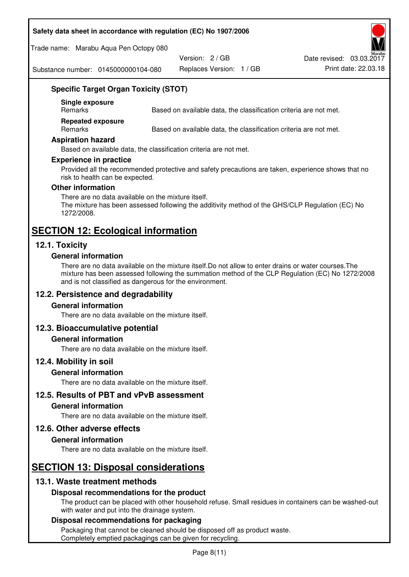#### **Safety data sheet in accordance with regulation (EC) No 1907/2006**

Trade name: Marabu Aqua Pen Octopy 080

Version: 2 / GB

Replaces Version: 1 / GB Print date: 22.03.18 Date revised: 03.03.2017

Substance number: 0145000000104-080

## **Specific Target Organ Toxicity (STOT)**

**Single exposure** 

Based on available data, the classification criteria are not met.

**Repeated exposure** 

Remarks Based on available data, the classification criteria are not met.

#### **Aspiration hazard**

Based on available data, the classification criteria are not met.

#### **Experience in practice**

Provided all the recommended protective and safety precautions are taken, experience shows that no risk to health can be expected.

#### **Other information**

There are no data available on the mixture itself. The mixture has been assessed following the additivity method of the GHS/CLP Regulation (EC) No 1272/2008.

## **SECTION 12: Ecological information**

## **12.1. Toxicity**

#### **General information**

There are no data available on the mixture itself.Do not allow to enter drains or water courses.The mixture has been assessed following the summation method of the CLP Regulation (EC) No 1272/2008 and is not classified as dangerous for the environment.

## **12.2. Persistence and degradability**

#### **General information**

There are no data available on the mixture itself.

#### **12.3. Bioaccumulative potential**

#### **General information**

There are no data available on the mixture itself.

#### **12.4. Mobility in soil**

#### **General information**

There are no data available on the mixture itself.

**12.5. Results of PBT and vPvB assessment** 

#### **General information**

There are no data available on the mixture itself.

#### **12.6. Other adverse effects**

#### **General information**

There are no data available on the mixture itself.

# **SECTION 13: Disposal considerations**

## **13.1. Waste treatment methods**

#### **Disposal recommendations for the product**

The product can be placed with other household refuse. Small residues in containers can be washed-out with water and put into the drainage system.

#### **Disposal recommendations for packaging**

Packaging that cannot be cleaned should be disposed off as product waste. Completely emptied packagings can be given for recycling.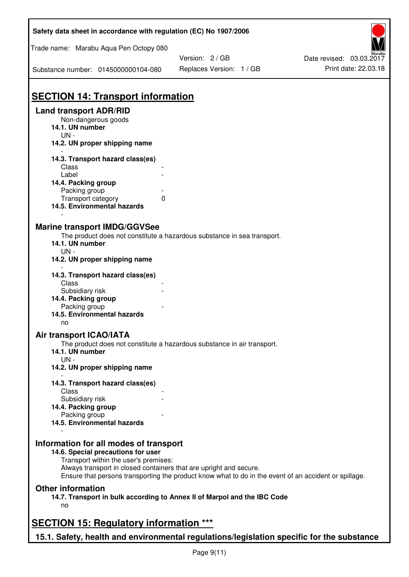| Safety data sheet in accordance with regulation (EC) No 1907/2006                         |                                                                                                       |                          |
|-------------------------------------------------------------------------------------------|-------------------------------------------------------------------------------------------------------|--------------------------|
| Trade name: Marabu Aqua Pen Octopy 080                                                    |                                                                                                       |                          |
|                                                                                           | Version: 2 / GB                                                                                       | Date revised: 03.03.2017 |
| Substance number: 0145000000104-080                                                       | Replaces Version: 1 / GB                                                                              | Print date: 22.03.18     |
| <b>SECTION 14: Transport information</b>                                                  |                                                                                                       |                          |
| <b>Land transport ADR/RID</b>                                                             |                                                                                                       |                          |
| Non-dangerous goods                                                                       |                                                                                                       |                          |
| 14.1. UN number                                                                           |                                                                                                       |                          |
| $UN -$                                                                                    |                                                                                                       |                          |
| 14.2. UN proper shipping name                                                             |                                                                                                       |                          |
| 14.3. Transport hazard class(es)                                                          |                                                                                                       |                          |
| Class                                                                                     |                                                                                                       |                          |
| Label                                                                                     |                                                                                                       |                          |
| 14.4. Packing group                                                                       |                                                                                                       |                          |
| Packing group                                                                             |                                                                                                       |                          |
| Transport category                                                                        | 0                                                                                                     |                          |
| 14.5. Environmental hazards                                                               |                                                                                                       |                          |
|                                                                                           |                                                                                                       |                          |
| <b>Marine transport IMDG/GGVSee</b>                                                       |                                                                                                       |                          |
|                                                                                           | The product does not constitute a hazardous substance in sea transport.                               |                          |
| 14.1. UN number                                                                           |                                                                                                       |                          |
| $UN -$                                                                                    |                                                                                                       |                          |
| 14.2. UN proper shipping name                                                             |                                                                                                       |                          |
|                                                                                           |                                                                                                       |                          |
| 14.3. Transport hazard class(es)                                                          |                                                                                                       |                          |
| Class                                                                                     |                                                                                                       |                          |
| Subsidiary risk                                                                           |                                                                                                       |                          |
| 14.4. Packing group                                                                       |                                                                                                       |                          |
| Packing group                                                                             |                                                                                                       |                          |
| 14.5. Environmental hazards                                                               |                                                                                                       |                          |
| no                                                                                        |                                                                                                       |                          |
| Air transport ICAO/IATA                                                                   |                                                                                                       |                          |
|                                                                                           | The product does not constitute a hazardous substance in air transport.                               |                          |
| 14.1. UN number                                                                           |                                                                                                       |                          |
| $UN -$                                                                                    |                                                                                                       |                          |
| 14.2. UN proper shipping name                                                             |                                                                                                       |                          |
|                                                                                           |                                                                                                       |                          |
| 14.3. Transport hazard class(es)<br>Class                                                 |                                                                                                       |                          |
| Subsidiary risk                                                                           |                                                                                                       |                          |
| 14.4. Packing group                                                                       |                                                                                                       |                          |
| Packing group                                                                             |                                                                                                       |                          |
| 14.5. Environmental hazards                                                               |                                                                                                       |                          |
|                                                                                           |                                                                                                       |                          |
| Information for all modes of transport                                                    |                                                                                                       |                          |
| 14.6. Special precautions for user                                                        |                                                                                                       |                          |
| Transport within the user's premises:                                                     |                                                                                                       |                          |
| Always transport in closed containers that are upright and secure.                        |                                                                                                       |                          |
|                                                                                           | Ensure that persons transporting the product know what to do in the event of an accident or spillage. |                          |
| <b>Other information</b>                                                                  |                                                                                                       |                          |
|                                                                                           | 14.7. Transport in bulk according to Annex II of Marpol and the IBC Code                              |                          |
| no                                                                                        |                                                                                                       |                          |
|                                                                                           |                                                                                                       |                          |
| <b>SECTION 15: Regulatory information ***</b>                                             |                                                                                                       |                          |
|                                                                                           |                                                                                                       |                          |
| 15.1. Safety, health and environmental regulations/legislation specific for the substance |                                                                                                       |                          |

Ī

٦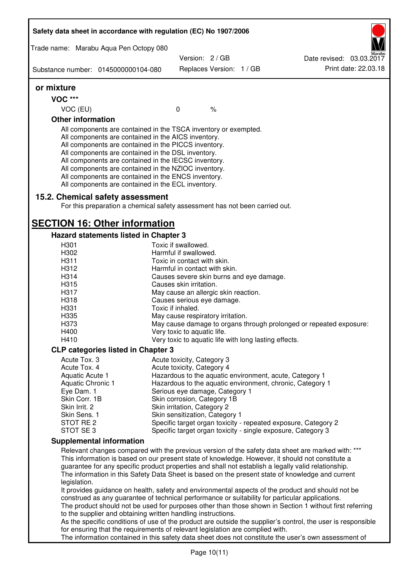| Safety data sheet in accordance with regulation (EC) No 1907/2006 |                                                                                                                                                                                                                                                                                                                                                                                                                                                                   |                                                       |      |                                                                                                                                                                                                                                                                                                                                                                                                                  |
|-------------------------------------------------------------------|-------------------------------------------------------------------------------------------------------------------------------------------------------------------------------------------------------------------------------------------------------------------------------------------------------------------------------------------------------------------------------------------------------------------------------------------------------------------|-------------------------------------------------------|------|------------------------------------------------------------------------------------------------------------------------------------------------------------------------------------------------------------------------------------------------------------------------------------------------------------------------------------------------------------------------------------------------------------------|
|                                                                   |                                                                                                                                                                                                                                                                                                                                                                                                                                                                   |                                                       |      |                                                                                                                                                                                                                                                                                                                                                                                                                  |
| Trade name: Marabu Aqua Pen Octopy 080                            |                                                                                                                                                                                                                                                                                                                                                                                                                                                                   | Version: 2/GB                                         |      | Date revised: 03.03.2017                                                                                                                                                                                                                                                                                                                                                                                         |
| Substance number: 0145000000104-080                               |                                                                                                                                                                                                                                                                                                                                                                                                                                                                   | Replaces Version: 1 / GB                              |      | Print date: 22.03.18                                                                                                                                                                                                                                                                                                                                                                                             |
| or mixture                                                        |                                                                                                                                                                                                                                                                                                                                                                                                                                                                   |                                                       |      |                                                                                                                                                                                                                                                                                                                                                                                                                  |
| <b>VOC ***</b>                                                    |                                                                                                                                                                                                                                                                                                                                                                                                                                                                   |                                                       |      |                                                                                                                                                                                                                                                                                                                                                                                                                  |
| VOC (EU)                                                          |                                                                                                                                                                                                                                                                                                                                                                                                                                                                   | $\mathbf 0$                                           | $\%$ |                                                                                                                                                                                                                                                                                                                                                                                                                  |
| <b>Other information</b>                                          |                                                                                                                                                                                                                                                                                                                                                                                                                                                                   |                                                       |      |                                                                                                                                                                                                                                                                                                                                                                                                                  |
|                                                                   | All components are contained in the TSCA inventory or exempted.<br>All components are contained in the AICS inventory.<br>All components are contained in the PICCS inventory.<br>All components are contained in the DSL inventory.<br>All components are contained in the IECSC inventory.<br>All components are contained in the NZIOC inventory.<br>All components are contained in the ENCS inventory.<br>All components are contained in the ECL inventory. |                                                       |      |                                                                                                                                                                                                                                                                                                                                                                                                                  |
| 15.2. Chemical safety assessment                                  | For this preparation a chemical safety assessment has not been carried out.                                                                                                                                                                                                                                                                                                                                                                                       |                                                       |      |                                                                                                                                                                                                                                                                                                                                                                                                                  |
| <b>SECTION 16: Other information</b>                              |                                                                                                                                                                                                                                                                                                                                                                                                                                                                   |                                                       |      |                                                                                                                                                                                                                                                                                                                                                                                                                  |
|                                                                   | Hazard statements listed in Chapter 3                                                                                                                                                                                                                                                                                                                                                                                                                             |                                                       |      |                                                                                                                                                                                                                                                                                                                                                                                                                  |
| H <sub>301</sub>                                                  |                                                                                                                                                                                                                                                                                                                                                                                                                                                                   | Toxic if swallowed.                                   |      |                                                                                                                                                                                                                                                                                                                                                                                                                  |
| H302                                                              |                                                                                                                                                                                                                                                                                                                                                                                                                                                                   | Harmful if swallowed.                                 |      |                                                                                                                                                                                                                                                                                                                                                                                                                  |
| H311                                                              |                                                                                                                                                                                                                                                                                                                                                                                                                                                                   | Toxic in contact with skin.                           |      |                                                                                                                                                                                                                                                                                                                                                                                                                  |
| H312                                                              |                                                                                                                                                                                                                                                                                                                                                                                                                                                                   | Harmful in contact with skin.                         |      |                                                                                                                                                                                                                                                                                                                                                                                                                  |
| H314                                                              |                                                                                                                                                                                                                                                                                                                                                                                                                                                                   | Causes severe skin burns and eye damage.              |      |                                                                                                                                                                                                                                                                                                                                                                                                                  |
| H315                                                              |                                                                                                                                                                                                                                                                                                                                                                                                                                                                   | Causes skin irritation.                               |      |                                                                                                                                                                                                                                                                                                                                                                                                                  |
| H317                                                              |                                                                                                                                                                                                                                                                                                                                                                                                                                                                   | May cause an allergic skin reaction.                  |      |                                                                                                                                                                                                                                                                                                                                                                                                                  |
| H318                                                              |                                                                                                                                                                                                                                                                                                                                                                                                                                                                   | Causes serious eye damage.                            |      |                                                                                                                                                                                                                                                                                                                                                                                                                  |
| H331                                                              |                                                                                                                                                                                                                                                                                                                                                                                                                                                                   | Toxic if inhaled.                                     |      |                                                                                                                                                                                                                                                                                                                                                                                                                  |
| H335                                                              |                                                                                                                                                                                                                                                                                                                                                                                                                                                                   | May cause respiratory irritation.                     |      |                                                                                                                                                                                                                                                                                                                                                                                                                  |
| H373                                                              |                                                                                                                                                                                                                                                                                                                                                                                                                                                                   |                                                       |      | May cause damage to organs through prolonged or repeated exposure:                                                                                                                                                                                                                                                                                                                                               |
| H400                                                              |                                                                                                                                                                                                                                                                                                                                                                                                                                                                   | Very toxic to aquatic life.                           |      |                                                                                                                                                                                                                                                                                                                                                                                                                  |
| H410                                                              |                                                                                                                                                                                                                                                                                                                                                                                                                                                                   | Very toxic to aquatic life with long lasting effects. |      |                                                                                                                                                                                                                                                                                                                                                                                                                  |
|                                                                   | <b>CLP categories listed in Chapter 3</b>                                                                                                                                                                                                                                                                                                                                                                                                                         |                                                       |      |                                                                                                                                                                                                                                                                                                                                                                                                                  |
| Acute Tox. 3                                                      |                                                                                                                                                                                                                                                                                                                                                                                                                                                                   | Acute toxicity, Category 3                            |      |                                                                                                                                                                                                                                                                                                                                                                                                                  |
| Acute Tox. 4                                                      |                                                                                                                                                                                                                                                                                                                                                                                                                                                                   | Acute toxicity, Category 4                            |      |                                                                                                                                                                                                                                                                                                                                                                                                                  |
| Aquatic Acute 1<br><b>Aquatic Chronic 1</b>                       |                                                                                                                                                                                                                                                                                                                                                                                                                                                                   |                                                       |      | Hazardous to the aquatic environment, acute, Category 1<br>Hazardous to the aquatic environment, chronic, Category 1                                                                                                                                                                                                                                                                                             |
| Eye Dam. 1                                                        |                                                                                                                                                                                                                                                                                                                                                                                                                                                                   | Serious eye damage, Category 1                        |      |                                                                                                                                                                                                                                                                                                                                                                                                                  |
| Skin Corr. 1B                                                     |                                                                                                                                                                                                                                                                                                                                                                                                                                                                   | Skin corrosion, Category 1B                           |      |                                                                                                                                                                                                                                                                                                                                                                                                                  |
| Skin Irrit. 2                                                     |                                                                                                                                                                                                                                                                                                                                                                                                                                                                   | Skin irritation, Category 2                           |      |                                                                                                                                                                                                                                                                                                                                                                                                                  |
| Skin Sens. 1                                                      |                                                                                                                                                                                                                                                                                                                                                                                                                                                                   | Skin sensitization, Category 1                        |      |                                                                                                                                                                                                                                                                                                                                                                                                                  |
| STOT RE 2                                                         |                                                                                                                                                                                                                                                                                                                                                                                                                                                                   |                                                       |      | Specific target organ toxicity - repeated exposure, Category 2                                                                                                                                                                                                                                                                                                                                                   |
| STOT SE3                                                          |                                                                                                                                                                                                                                                                                                                                                                                                                                                                   |                                                       |      | Specific target organ toxicity - single exposure, Category 3                                                                                                                                                                                                                                                                                                                                                     |
| <b>Supplemental information</b>                                   |                                                                                                                                                                                                                                                                                                                                                                                                                                                                   |                                                       |      |                                                                                                                                                                                                                                                                                                                                                                                                                  |
| legislation.                                                      |                                                                                                                                                                                                                                                                                                                                                                                                                                                                   |                                                       |      | Relevant changes compared with the previous version of the safety data sheet are marked with: ***<br>This information is based on our present state of knowledge. However, it should not constitute a<br>guarantee for any specific product properties and shall not establish a legally valid relationship.<br>The information in this Safety Data Sheet is based on the present state of knowledge and current |
|                                                                   | to the supplier and obtaining written handling instructions.                                                                                                                                                                                                                                                                                                                                                                                                      |                                                       |      | It provides guidance on health, safety and environmental aspects of the product and should not be<br>construed as any guarantee of technical performance or suitability for particular applications.<br>The product should not be used for purposes other than those shown in Section 1 without first referring                                                                                                  |
|                                                                   | for ensuring that the requirements of relevant legislation are complied with.                                                                                                                                                                                                                                                                                                                                                                                     |                                                       |      | As the specific conditions of use of the product are outside the supplier's control, the user is responsible<br>The information contained in this safety data sheet does not constitute the user's own assessment of                                                                                                                                                                                             |